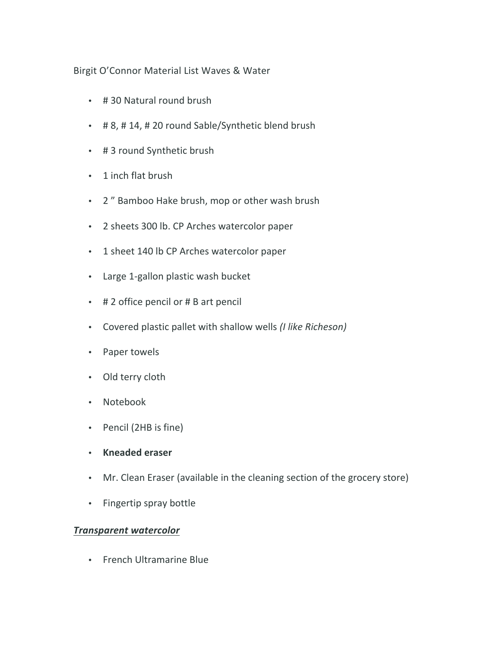## Birgit O'Connor Material List Waves & Water

- # 30 Natural round brush
- # 8, # 14, # 20 round Sable/Synthetic blend brush
- # 3 round Synthetic brush
- 1 inch flat brush
- 2" Bamboo Hake brush, mop or other wash brush
- 2 sheets 300 lb. CP Arches watercolor paper
- 1 sheet 140 lb CP Arches watercolor paper
- Large 1-gallon plastic wash bucket
- $\cdot$  # 2 office pencil or # B art pencil
- Covered plastic pallet with shallow wells *(I like Richeson)*
- Paper towels
- Old terry cloth
- Notebook
- Pencil (2HB is fine)
- **Kneaded eraser**
- Mr. Clean Eraser (available in the cleaning section of the grocery store)
- Fingertip spray bottle

## *Transparent watercolor*

• French Ultramarine Blue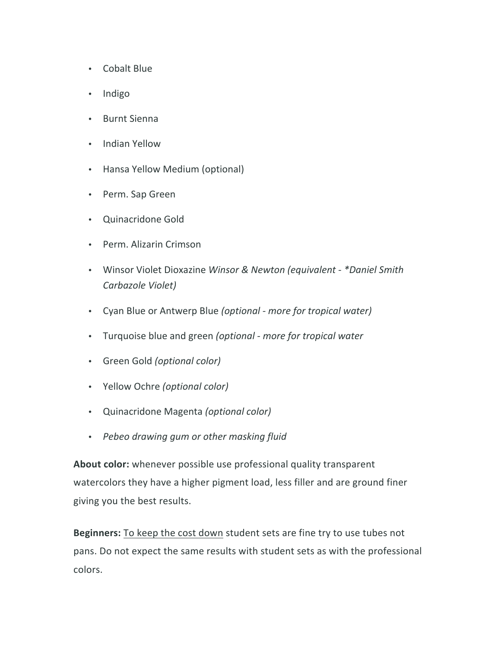- Cobalt Blue
- Indigo
- Burnt Sienna
- Indian Yellow
- Hansa Yellow Medium (optional)
- Perm. Sap Green
- Quinacridone Gold
- Perm. Alizarin Crimson
- Winsor Violet Dioxazine *Winsor & Newton (equivalent \*Daniel Smith Carbazole Violet)*
- Cyan Blue or Antwerp Blue *(optional - more for tropical water)*
- Turquoise blue and green *(optional - more for tropical water*
- Green Gold *(optional color)*
- Yellow Ochre *(optional color)*
- Quinacridone Magenta *(optional color)*
- *Pebeo drawing gum or other masking fluid*

About color: whenever possible use professional quality transparent watercolors they have a higher pigment load, less filler and are ground finer giving you the best results.

**Beginners:** To keep the cost down student sets are fine try to use tubes not pans. Do not expect the same results with student sets as with the professional colors.